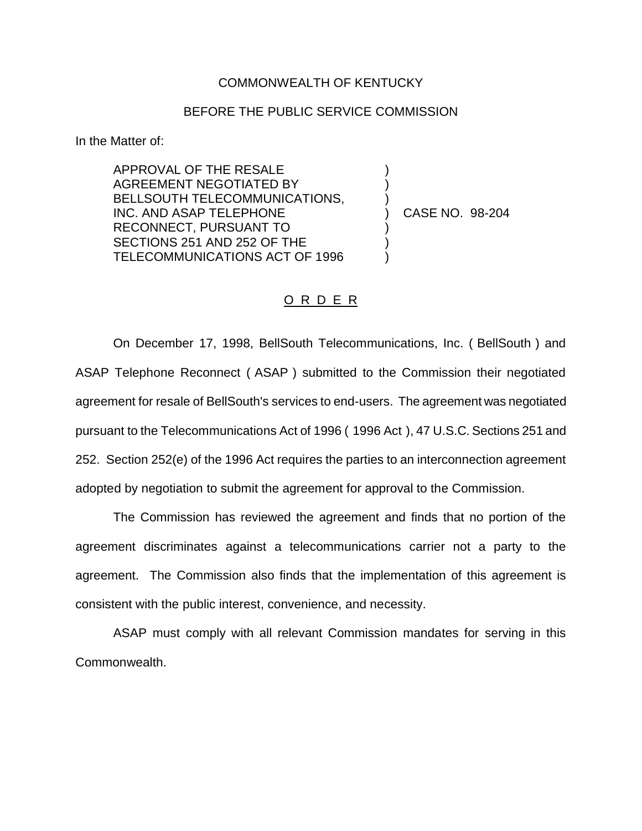## COMMONWEALTH OF KENTUCKY

## BEFORE THE PUBLIC SERVICE COMMISSION

) )

 $\left\{ \right\}$ 

) ) )

In the Matter of:

APPROVAL OF THE RESALE AGREEMENT NEGOTIATED BY BELLSOUTH TELECOMMUNICATIONS, INC. AND ASAP TELEPHONE RECONNECT, PURSUANT TO SECTIONS 251 AND 252 OF THE TELECOMMUNICATIONS ACT OF 1996

) CASE NO. 98-204

## O R D E R

On December 17, 1998, BellSouth Telecommunications, Inc. ( BellSouth ) and ASAP Telephone Reconnect ( ASAP ) submitted to the Commission their negotiated agreement for resale of BellSouth's services to end-users. The agreement was negotiated pursuant to the Telecommunications Act of 1996 ( 1996 Act ), 47 U.S.C. Sections 251 and 252. Section 252(e) of the 1996 Act requires the parties to an interconnection agreement adopted by negotiation to submit the agreement for approval to the Commission.

The Commission has reviewed the agreement and finds that no portion of the agreement discriminates against a telecommunications carrier not a party to the agreement. The Commission also finds that the implementation of this agreement is consistent with the public interest, convenience, and necessity.

ASAP must comply with all relevant Commission mandates for serving in this Commonwealth.